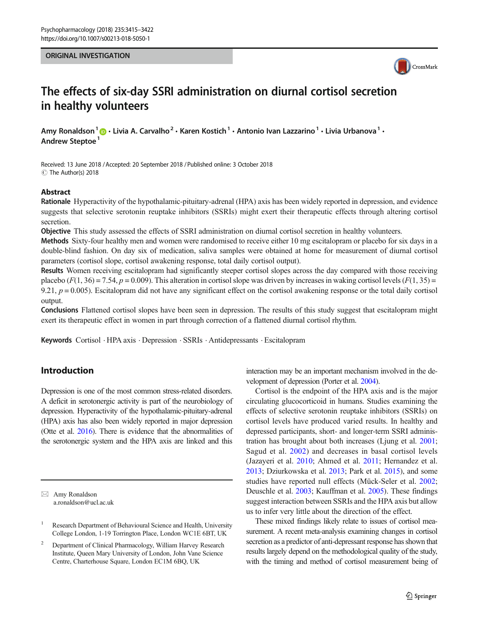#### ORIGINAL INVESTIGATION



# The effects of six-day SSRI administration on diurnal cortisol secretion in healthy volunteers

Amy Ronaldson<sup>1</sup>  $\cdot$  Livia A. Carvalho<sup>2</sup>  $\cdot$  Karen Kostich<sup>1</sup>  $\cdot$  Antonio Ivan Lazzarino<sup>1</sup>  $\cdot$  Livia Urbanova<sup>1</sup>  $\cdot$ Andrew Steptoe [1](http://orcid.org/0000-0001-8369-9168)

Received: 13 June 2018 /Accepted: 20 September 2018 /Published online: 3 October 2018  $\circledcirc$  The Author(s) 2018

#### Abstract

Rationale Hyperactivity of the hypothalamic-pituitary-adrenal (HPA) axis has been widely reported in depression, and evidence suggests that selective serotonin reuptake inhibitors (SSRIs) might exert their therapeutic effects through altering cortisol secretion.

Objective This study assessed the effects of SSRI administration on diurnal cortisol secretion in healthy volunteers.

Methods Sixty-four healthy men and women were randomised to receive either 10 mg escitalopram or placebo for six days in a double-blind fashion. On day six of medication, saliva samples were obtained at home for measurement of diurnal cortisol parameters (cortisol slope, cortisol awakening response, total daily cortisol output).

Results Women receiving escitalopram had significantly steeper cortisol slopes across the day compared with those receiving placebo  $(F(1, 36) = 7.54, p = 0.009)$ . This alteration in cortisol slope was driven by increases in waking cortisol levels  $(F(1, 35) =$ 9.21,  $p = 0.005$ ). Escitalopram did not have any significant effect on the cortisol awakening response or the total daily cortisol output.

Conclusions Flattened cortisol slopes have been seen in depression. The results of this study suggest that escitalopram might exert its therapeutic effect in women in part through correction of a flattened diurnal cortisol rhythm.

Keywords Cortisol . HPA axis . Depression . SSRIs . Antidepressants . Escitalopram

## Introduction

Depression is one of the most common stress-related disorders. A deficit in serotonergic activity is part of the neurobiology of depression. Hyperactivity of the hypothalamic-pituitary-adrenal (HPA) axis has also been widely reported in major depression (Otte et al. [2016\)](#page-7-0). There is evidence that the abnormalities of the serotonergic system and the HPA axis are linked and this

 $\boxtimes$  Amy Ronaldson [a.ronaldson@ucl.ac.uk](mailto:a.ronaldson@ucl.ac.uk)

interaction may be an important mechanism involved in the development of depression (Porter et al. [2004](#page-7-0)).

Cortisol is the endpoint of the HPA axis and is the major circulating glucocorticoid in humans. Studies examining the effects of selective serotonin reuptake inhibitors (SSRIs) on cortisol levels have produced varied results. In healthy and depressed participants, short- and longer-term SSRI administration has brought about both increases (Ljung et al. [2001;](#page-7-0) Sagud et al. [2002](#page-7-0)) and decreases in basal cortisol levels (Jazayeri et al. [2010;](#page-6-0) Ahmed et al. [2011](#page-6-0); Hernandez et al. [2013;](#page-6-0) Dziurkowska et al. [2013;](#page-6-0) Park et al. [2015\)](#page-7-0), and some studies have reported null effects (Mück-Seler et al. [2002;](#page-7-0) Deuschle et al. [2003](#page-6-0); Kauffman et al. [2005\)](#page-7-0). These findings suggest interaction between SSRIs and the HPA axis but allow us to infer very little about the direction of the effect.

These mixed findings likely relate to issues of cortisol measurement. A recent meta-analysis examining changes in cortisol secretion as a predictor of anti-depressant response has shown that results largely depend on the methodological quality of the study, with the timing and method of cortisol measurement being of

<sup>1</sup> Research Department of Behavioural Science and Health, University College London, 1-19 Torrington Place, London WC1E 6BT, UK

<sup>&</sup>lt;sup>2</sup> Department of Clinical Pharmacology, William Harvey Research Institute, Queen Mary University of London, John Vane Science Centre, Charterhouse Square, London EC1M 6BQ, UK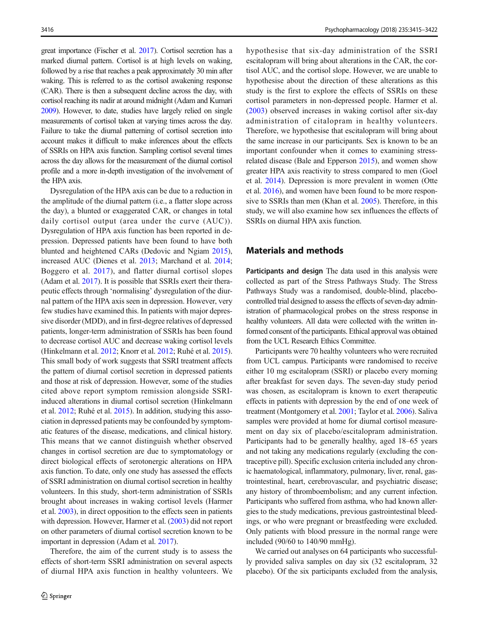great importance (Fischer et al. [2017](#page-6-0)). Cortisol secretion has a marked diurnal pattern. Cortisol is at high levels on waking, followed by a rise that reaches a peak approximately 30 min after waking. This is referred to as the cortisol awakening response (CAR). There is then a subsequent decline across the day, with cortisol reaching its nadir at around midnight (Adam and Kumari [2009\)](#page-6-0). However, to date, studies have largely relied on single measurements of cortisol taken at varying times across the day. Failure to take the diurnal patterning of cortisol secretion into account makes it difficult to make inferences about the effects of SSRIs on HPA axis function. Sampling cortisol several times across the day allows for the measurement of the diurnal cortisol profile and a more in-depth investigation of the involvement of the HPA axis.

Dysregulation of the HPA axis can be due to a reduction in the amplitude of the diurnal pattern (i.e., a flatter slope across the day), a blunted or exaggerated CAR, or changes in total daily cortisol output (area under the curve (AUC)). Dysregulation of HPA axis function has been reported in depression. Depressed patients have been found to have both blunted and heightened CARs (Dedovic and Ngiam [2015](#page-6-0)), increased AUC (Dienes et al. [2013](#page-6-0); Marchand et al. [2014](#page-7-0); Boggero et al. [2017](#page-6-0)), and flatter diurnal cortisol slopes (Adam et al. [2017](#page-6-0)). It is possible that SSRIs exert their therapeutic effects through 'normalising' dysregulation of the diurnal pattern of the HPA axis seen in depression. However, very few studies have examined this. In patients with major depressive disorder (MDD), and in first-degree relatives of depressed patients, longer-term administration of SSRIs has been found to decrease cortisol AUC and decrease waking cortisol levels (Hinkelmann et al. [2012;](#page-6-0) Knorr et al. [2012](#page-7-0); Ruhé et al. [2015\)](#page-7-0). This small body of work suggests that SSRI treatment affects the pattern of diurnal cortisol secretion in depressed patients and those at risk of depression. However, some of the studies cited above report symptom remission alongside SSRIinduced alterations in diurnal cortisol secretion (Hinkelmann et al. [2012;](#page-6-0) Ruhé et al. [2015](#page-7-0)). In addition, studying this association in depressed patients may be confounded by symptomatic features of the disease, medications, and clinical history. This means that we cannot distinguish whether observed changes in cortisol secretion are due to symptomatology or direct biological effects of serotonergic alterations on HPA axis function. To date, only one study has assessed the effects of SSRI administration on diurnal cortisol secretion in healthy volunteers. In this study, short-term administration of SSRIs brought about increases in waking cortisol levels (Harmer et al. [2003\)](#page-6-0), in direct opposition to the effects seen in patients with depression. However, Harmer et al. ([2003](#page-6-0)) did not report on other parameters of diurnal cortisol secretion known to be important in depression (Adam et al. [2017](#page-6-0)).

Therefore, the aim of the current study is to assess the effects of short-term SSRI administration on several aspects of diurnal HPA axis function in healthy volunteers. We hypothesise that six-day administration of the SSRI escitalopram will bring about alterations in the CAR, the cortisol AUC, and the cortisol slope. However, we are unable to hypothesise about the direction of these alterations as this study is the first to explore the effects of SSRIs on these cortisol parameters in non-depressed people. Harmer et al. [\(2003](#page-6-0)) observed increases in waking cortisol after six-day administration of citalopram in healthy volunteers. Therefore, we hypothesise that escitalopram will bring about the same increase in our participants. Sex is known to be an important confounder when it comes to examining stressrelated disease (Bale and Epperson [2015](#page-6-0)), and women show greater HPA axis reactivity to stress compared to men (Goel et al. [2014\)](#page-6-0). Depression is more prevalent in women (Otte et al. [2016](#page-7-0)), and women have been found to be more responsive to SSRIs than men (Khan et al. [2005\)](#page-7-0). Therefore, in this study, we will also examine how sex influences the effects of SSRIs on diurnal HPA axis function.

## Materials and methods

Participants and design The data used in this analysis were collected as part of the Stress Pathways Study. The Stress Pathways Study was a randomised, double-blind, placebocontrolled trial designed to assess the effects of seven-day administration of pharmacological probes on the stress response in healthy volunteers. All data were collected with the written informed consent of the participants. Ethical approval was obtained from the UCL Research Ethics Committee.

Participants were 70 healthy volunteers who were recruited from UCL campus. Participants were randomised to receive either 10 mg escitalopram (SSRI) or placebo every morning after breakfast for seven days. The seven-day study period was chosen, as escitalopram is known to exert therapeutic effects in patients with depression by the end of one week of treatment (Montgomery et al. [2001;](#page-7-0) Taylor et al. [2006](#page-7-0)). Saliva samples were provided at home for diurnal cortisol measurement on day six of placebo/escitalopram administration. Participants had to be generally healthy, aged 18–65 years and not taking any medications regularly (excluding the contraceptive pill). Specific exclusion criteria included any chronic haematological, inflammatory, pulmonary, liver, renal, gastrointestinal, heart, cerebrovascular, and psychiatric disease; any history of thromboembolism; and any current infection. Participants who suffered from asthma, who had known allergies to the study medications, previous gastrointestinal bleedings, or who were pregnant or breastfeeding were excluded. Only patients with blood pressure in the normal range were included (90/60 to 140/90 mmHg).

We carried out analyses on 64 participants who successfully provided saliva samples on day six (32 escitalopram, 32 placebo). Of the six participants excluded from the analysis,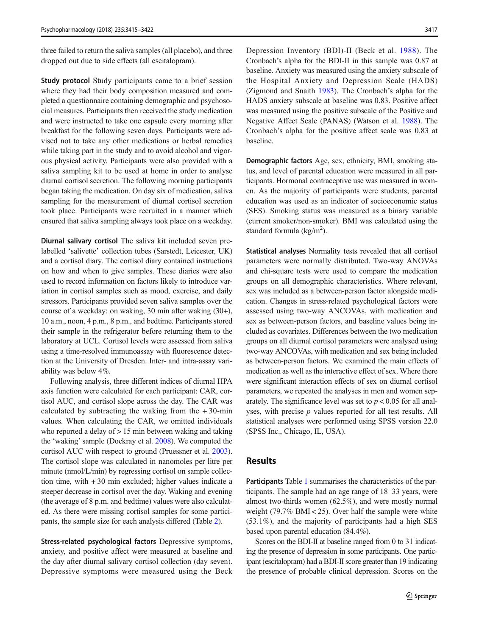three failed to return the saliva samples (all placebo), and three dropped out due to side effects (all escitalopram).

Study protocol Study participants came to a brief session where they had their body composition measured and completed a questionnaire containing demographic and psychosocial measures. Participants then received the study medication and were instructed to take one capsule every morning after breakfast for the following seven days. Participants were advised not to take any other medications or herbal remedies while taking part in the study and to avoid alcohol and vigorous physical activity. Participants were also provided with a saliva sampling kit to be used at home in order to analyse diurnal cortisol secretion. The following morning participants began taking the medication. On day six of medication, saliva sampling for the measurement of diurnal cortisol secretion took place. Participants were recruited in a manner which ensured that saliva sampling always took place on a weekday.

Diurnal salivary cortisol The saliva kit included seven prelabelled 'salivette' collection tubes (Sarstedt, Leicester, UK) and a cortisol diary. The cortisol diary contained instructions on how and when to give samples. These diaries were also used to record information on factors likely to introduce variation in cortisol samples such as mood, exercise, and daily stressors. Participants provided seven saliva samples over the course of a weekday: on waking, 30 min after waking (30+), 10 a.m., noon, 4 p.m., 8 p.m., and bedtime. Participants stored their sample in the refrigerator before returning them to the laboratory at UCL. Cortisol levels were assessed from saliva using a time-resolved immunoassay with fluorescence detection at the University of Dresden. Inter- and intra-assay variability was below 4%.

Following analysis, three different indices of diurnal HPA axis function were calculated for each participant: CAR, cortisol AUC, and cortisol slope across the day. The CAR was calculated by subtracting the waking from the  $+30$ -min values. When calculating the CAR, we omitted individuals who reported a delay of  $> 15$  min between waking and taking the 'waking' sample (Dockray et al. [2008\)](#page-6-0). We computed the cortisol AUC with respect to ground (Pruessner et al. [2003\)](#page-7-0). The cortisol slope was calculated in nanomoles per litre per minute (nmol/L/min) by regressing cortisol on sample collection time, with + 30 min excluded; higher values indicate a steeper decrease in cortisol over the day. Waking and evening (the average of 8 p.m. and bedtime) values were also calculated. As there were missing cortisol samples for some participants, the sample size for each analysis differed (Table [2](#page-4-0)).

Stress-related psychological factors Depressive symptoms, anxiety, and positive affect were measured at baseline and the day after diurnal salivary cortisol collection (day seven). Depressive symptoms were measured using the Beck Depression Inventory (BDI)-II (Beck et al. [1988\)](#page-6-0). The Cronbach's alpha for the BDI-II in this sample was 0.87 at baseline. Anxiety was measured using the anxiety subscale of the Hospital Anxiety and Depression Scale (HADS) (Zigmond and Snaith [1983\)](#page-7-0). The Cronbach's alpha for the HADS anxiety subscale at baseline was 0.83. Positive affect was measured using the positive subscale of the Positive and Negative Affect Scale (PANAS) (Watson et al. [1988\)](#page-7-0). The Cronbach's alpha for the positive affect scale was 0.83 at baseline.

Demographic factors Age, sex, ethnicity, BMI, smoking status, and level of parental education were measured in all participants. Hormonal contraceptive use was measured in women. As the majority of participants were students, parental education was used as an indicator of socioeconomic status (SES). Smoking status was measured as a binary variable (current smoker/non-smoker). BMI was calculated using the standard formula  $(kg/m^2)$ .

Statistical analyses Normality tests revealed that all cortisol parameters were normally distributed. Two-way ANOVAs and chi-square tests were used to compare the medication groups on all demographic characteristics. Where relevant, sex was included as a between-person factor alongside medication. Changes in stress-related psychological factors were assessed using two-way ANCOVAs, with medication and sex as between-person factors, and baseline values being included as covariates. Differences between the two medication groups on all diurnal cortisol parameters were analysed using two-way ANCOVAs, with medication and sex being included as between-person factors. We examined the main effects of medication as well as the interactive effect of sex. Where there were significant interaction effects of sex on diurnal cortisol parameters, we repeated the analyses in men and women separately. The significance level was set to  $p < 0.05$  for all analyses, with precise  $p$  values reported for all test results. All statistical analyses were performed using SPSS version 22.0 (SPSS Inc., Chicago, IL, USA).

## Results

Participants Table [1](#page-3-0) summarises the characteristics of the participants. The sample had an age range of 18–33 years, were almost two-thirds women (62.5%), and were mostly normal weight (79.7% BMI < 25). Over half the sample were white (53.1%), and the majority of participants had a high SES based upon parental education (84.4%).

Scores on the BDI-II at baseline ranged from 0 to 31 indicating the presence of depression in some participants. One participant (escitalopram) had a BDI-II score greater than 19 indicating the presence of probable clinical depression. Scores on the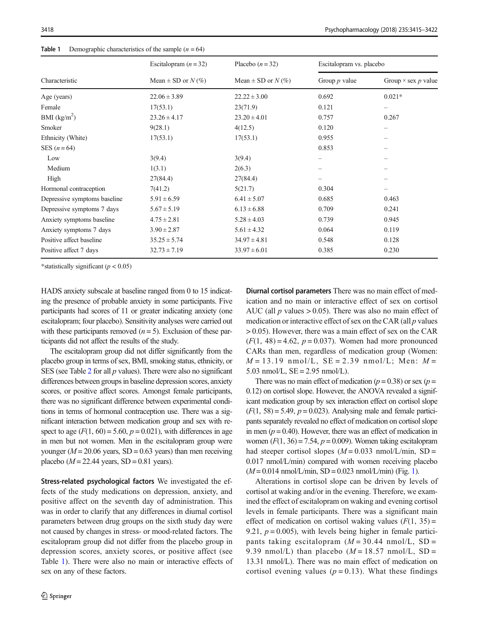| Characteristic               | Escitalopram $(n=32)$<br>Mean $\pm$ SD or $N$ (%) | Placebo $(n=32)$<br>Mean $\pm$ SD or N (%) | Escitalopram vs. placebo |                            |
|------------------------------|---------------------------------------------------|--------------------------------------------|--------------------------|----------------------------|
|                              |                                                   |                                            | Group $p$ value          | Group $\times$ sex p value |
| Age (years)                  | $22.06 \pm 3.89$                                  | $22.22 \pm 3.00$                           | 0.692                    | $0.021*$                   |
| Female                       | 17(53.1)                                          | 23(71.9)                                   | 0.121                    |                            |
| BMI $(kg/m^2)$               | $23.26 \pm 4.17$                                  | $23.20 \pm 4.01$                           | 0.757                    | 0.267                      |
| Smoker                       | 9(28.1)                                           | 4(12.5)                                    | 0.120                    |                            |
| Ethnicity (White)            | 17(53.1)                                          | 17(53.1)                                   | 0.955                    |                            |
| SES $(n = 64)$               |                                                   |                                            | 0.853                    |                            |
| Low                          | 3(9.4)                                            | 3(9.4)                                     |                          |                            |
| Medium                       | 1(3.1)                                            | 2(6.3)                                     |                          |                            |
| High                         | 27(84.4)                                          | 27(84.4)                                   |                          |                            |
| Hormonal contraception       | 7(41.2)                                           | 5(21.7)                                    | 0.304                    |                            |
| Depressive symptoms baseline | $5.91 \pm 6.59$                                   | $6.41 \pm 5.07$                            | 0.685                    | 0.463                      |
| Depressive symptoms 7 days   | $5.67 \pm 5.19$                                   | $6.13 \pm 6.88$                            | 0.709                    | 0.241                      |
| Anxiety symptoms baseline    | $4.75 \pm 2.81$                                   | $5.28 \pm 4.03$                            | 0.739                    | 0.945                      |
| Anxiety symptoms 7 days      | $3.90 \pm 2.87$                                   | $5.61 \pm 4.32$                            | 0.064                    | 0.119                      |
| Positive affect baseline     | $35.25 \pm 5.74$                                  | $34.97 \pm 4.81$                           | 0.548                    | 0.128                      |
| Positive affect 7 days       | $32.73 \pm 7.19$                                  | $33.97 \pm 6.01$                           | 0.385                    | 0.230                      |

<span id="page-3-0"></span>**Table 1** Demographic characteristics of the sample  $(n = 64)$ 

\*statistically significant  $(p < 0.05)$ 

HADS anxiety subscale at baseline ranged from 0 to 15 indicating the presence of probable anxiety in some participants. Five participants had scores of 11 or greater indicating anxiety (one escitalopram; four placebo). Sensitivity analyses were carried out with these participants removed  $(n = 5)$ . Exclusion of these participants did not affect the results of the study.

The escitalopram group did not differ significantly from the placebo group in terms of sex, BMI, smoking status, ethnicity, or SES (see Table [2](#page-4-0) for all  $p$  values). There were also no significant differences between groups in baseline depression scores, anxiety scores, or positive affect scores. Amongst female participants, there was no significant difference between experimental conditions in terms of hormonal contraception use. There was a significant interaction between medication group and sex with respect to age  $(F(1, 60) = 5.60, p = 0.021)$ , with differences in age in men but not women. Men in the escitalopram group were younger ( $M = 20.06$  years, SD = 0.63 years) than men receiving placebo ( $M = 22.44$  years, SD = 0.81 years).

Stress-related psychological factors We investigated the effects of the study medications on depression, anxiety, and positive affect on the seventh day of administration. This was in order to clarify that any differences in diurnal cortisol parameters between drug groups on the sixth study day were not caused by changes in stress- or mood-related factors. The escitalopram group did not differ from the placebo group in depression scores, anxiety scores, or positive affect (see Table 1). There were also no main or interactive effects of sex on any of these factors.

Diurnal cortisol parameters There was no main effect of medication and no main or interactive effect of sex on cortisol AUC (all  $p$  values > 0.05). There was also no main effect of medication or interactive effect of sex on the CAR (all  $p$  values > 0.05). However, there was a main effect of sex on the CAR  $(F(1, 48) = 4.62, p = 0.037)$ . Women had more pronounced CARs than men, regardless of medication group (Women:  $M = 13.19$  nmol/L, SE = 2.39 nmol/L; Men:  $M =$ 5.03 nmol/L,  $SE = 2.95$  nmol/L).

There was no main effect of medication ( $p = 0.38$ ) or sex ( $p =$ 0.12) on cortisol slope. However, the ANOVA revealed a significant medication group by sex interaction effect on cortisol slope  $(F(1, 58) = 5.49, p = 0.023)$ . Analysing male and female participants separately revealed no effect of medication on cortisol slope in men ( $p = 0.40$ ). However, there was an effect of medication in women  $(F(1, 36) = 7.54, p = 0.009)$ . Women taking escitalopram had steeper cortisol slopes  $(M = 0.033$  nmol/L/min, SD = 0.017 nmol/L/min) compared with women receiving placebo  $(M = 0.014$  $(M = 0.014$  $(M = 0.014$  nmol/L/min, SD = 0.023 nmol/L/min) (Fig. 1).

Alterations in cortisol slope can be driven by levels of cortisol at waking and/or in the evening. Therefore, we examined the effect of escitalopram on waking and evening cortisol levels in female participants. There was a significant main effect of medication on cortisol waking values  $(F(1, 35))$  = 9.21,  $p = 0.005$ ), with levels being higher in female participants taking escitalopram  $(M = 30.44 \text{ nmol/L}, SD =$ 9.39 nmol/L) than placebo  $(M = 18.57 \text{ nmol/L}, SD =$ 13.31 nmol/L). There was no main effect of medication on cortisol evening values ( $p = 0.13$ ). What these findings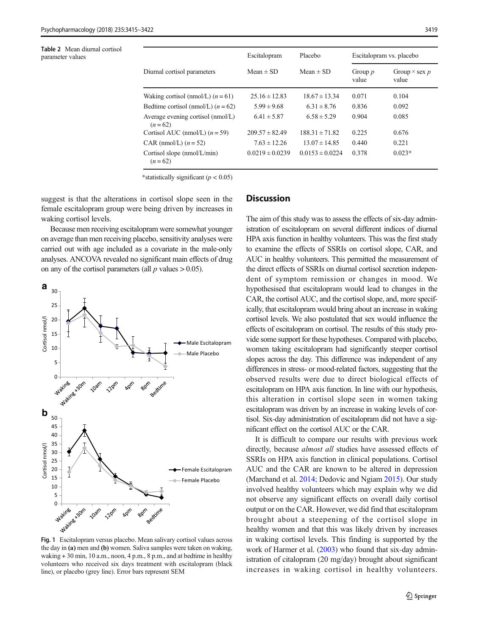<span id="page-4-0"></span>Table 2 Mean diurnal cortisol

| <b>Table 2</b> Mean diurnal cortisol<br>parameter values |                                               | Escitalopram        | Placebo             | Escitalopram vs. placebo |                                 |
|----------------------------------------------------------|-----------------------------------------------|---------------------|---------------------|--------------------------|---------------------------------|
|                                                          | Diurnal cortisol parameters                   | Mean $\pm$ SD       | Mean $\pm$ SD       | Group $p$<br>value       | Group $\times$ sex $p$<br>value |
|                                                          | Waking cortisol (nmol/L) $(n = 61)$           | $25.16 \pm 12.83$   | $18.67 \pm 13.34$   | 0.071                    | 0.104                           |
|                                                          | Bedtime cortisol (nmol/L) $(n = 62)$          | $5.99 \pm 9.68$     | $6.31 \pm 8.76$     | 0.836                    | 0.092                           |
|                                                          | Average evening cortisol (nmol/L)<br>$(n=62)$ | $6.41 \pm 5.87$     | $6.58 \pm 5.29$     | 0.904                    | 0.085                           |
|                                                          | Cortisol AUC (nmol/L) $(n = 59)$              | $209.57 \pm 82.49$  | $188.31 \pm 71.82$  | 0.225                    | 0.676                           |
|                                                          | CAR (nmol/L) $(n = 52)$                       | $7.63 \pm 12.26$    | $13.07 \pm 14.85$   | 0.440                    | 0.221                           |
|                                                          | Cortisol slope $(nmol/L/min)$<br>$(n=62)$     | $0.0219 \pm 0.0239$ | $0.0153 \pm 0.0224$ | 0.378                    | $0.023*$                        |

\*statistically significant ( $p < 0.05$ )

suggest is that the alterations in cortisol slope seen in the female escitalopram group were being driven by increases in waking cortisol levels.

Because men receiving escitalopram were somewhat younger on average than men receiving placebo, sensitivity analyses were carried out with age included as a covariate in the male-only analyses. ANCOVA revealed no significant main effects of drug on any of the cortisol parameters (all  $p$  values  $> 0.05$ ).



Fig. 1 Escitalopram versus placebo. Mean salivary cortisol values across the day in (a) men and (b) women. Saliva samples were taken on waking, waking + 30 min, 10 a.m., noon, 4 p.m., 8 p.m., and at bedtime in healthy volunteers who received six days treatment with escitalopram (black line), or placebo (grey line). Error bars represent SEM

| <b>Discussion</b> |  |  |
|-------------------|--|--|

The aim of this study was to assess the effects of six-day administration of escitalopram on several different indices of diurnal HPA axis function in healthy volunteers. This was the first study to examine the effects of SSRIs on cortisol slope, CAR, and AUC in healthy volunteers. This permitted the measurement of the direct effects of SSRIs on diurnal cortisol secretion independent of symptom remission or changes in mood. We hypothesised that escitalopram would lead to changes in the CAR, the cortisol AUC, and the cortisol slope, and, more specifically, that escitalopram would bring about an increase in waking cortisol levels. We also postulated that sex would influence the effects of escitalopram on cortisol. The results of this study provide some support for these hypotheses. Compared with placebo, women taking escitalopram had significantly steeper cortisol slopes across the day. This difference was independent of any differences in stress- or mood-related factors, suggesting that the observed results were due to direct biological effects of escitalopram on HPA axis function. In line with our hypothesis, this alteration in cortisol slope seen in women taking escitalopram was driven by an increase in waking levels of cortisol. Six-day administration of escitalopram did not have a significant effect on the cortisol AUC or the CAR.

It is difficult to compare our results with previous work directly, because *almost all* studies have assessed effects of SSRIs on HPA axis function in clinical populations. Cortisol AUC and the CAR are known to be altered in depression (Marchand et al. [2014;](#page-7-0) Dedovic and Ngiam [2015](#page-6-0)). Our study involved healthy volunteers which may explain why we did not observe any significant effects on overall daily cortisol output or on the CAR. However, we did find that escitalopram brought about a steepening of the cortisol slope in healthy women and that this was likely driven by increases in waking cortisol levels. This finding is supported by the work of Harmer et al. [\(2003\)](#page-6-0) who found that six-day administration of citalopram (20 mg/day) brought about significant increases in waking cortisol in healthy volunteers.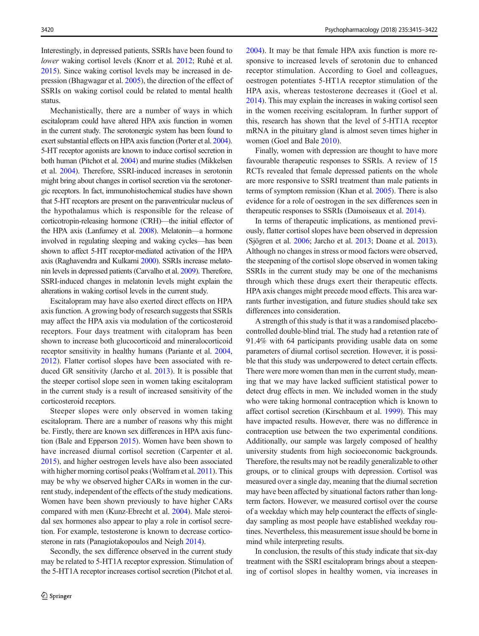Interestingly, in depressed patients, SSRIs have been found to lower waking cortisol levels (Knorr et al. [2012](#page-7-0); Ruhé et al. [2015\)](#page-7-0). Since waking cortisol levels may be increased in depression (Bhagwagar et al. [2005](#page-6-0)), the direction of the effect of SSRIs on waking cortisol could be related to mental health status.

Mechanistically, there are a number of ways in which escitalopram could have altered HPA axis function in women in the current study. The serotonergic system has been found to exert substantial effects on HPA axis function (Porter et al. [2004\)](#page-7-0). 5-HT receptor agonists are known to induce cortisol secretion in both human (Pitchot et al. [2004\)](#page-7-0) and murine studies (Mikkelsen et al. [2004\)](#page-7-0). Therefore, SSRI-induced increases in serotonin might bring about changes in cortisol secretion via the serotonergic receptors. In fact, immunohistochemical studies have shown that 5-HT receptors are present on the paraventricular nucleus of the hypothalamus which is responsible for the release of corticotropin-releasing hormone (CRH)—the initial effector of the HPA axis (Lanfumey et al. [2008\)](#page-7-0). Melatonin—a hormone involved in regulating sleeping and waking cycles—has been shown to affect 5-HT receptor-mediated activation of the HPA axis (Raghavendra and Kulkarni [2000](#page-7-0)). SSRIs increase melatonin levels in depressed patients (Carvalho et al. [2009](#page-6-0)). Therefore, SSRI-induced changes in melatonin levels might explain the alterations in waking cortisol levels in the current study.

Escitalopram may have also exerted direct effects on HPA axis function. A growing body of research suggests that SSRIs may affect the HPA axis via modulation of the corticosteroid receptors. Four days treatment with citalopram has been shown to increase both glucocorticoid and mineralocorticoid receptor sensitivity in healthy humans (Pariante et al. [2004,](#page-7-0) [2012\)](#page-7-0). Flatter cortisol slopes have been associated with reduced GR sensitivity (Jarcho et al. [2013\)](#page-6-0). It is possible that the steeper cortisol slope seen in women taking escitalopram in the current study is a result of increased sensitivity of the corticosteroid receptors.

Steeper slopes were only observed in women taking escitalopram. There are a number of reasons why this might be. Firstly, there are known sex differences in HPA axis function (Bale and Epperson [2015\)](#page-6-0). Women have been shown to have increased diurnal cortisol secretion (Carpenter et al. [2015\)](#page-6-0), and higher oestrogen levels have also been associated with higher morning cortisol peaks (Wolfram et al. [2011](#page-7-0)). This may be why we observed higher CARs in women in the current study, independent of the effects of the study medications. Women have been shown previously to have higher CARs compared with men (Kunz-Ebrecht et al. [2004\)](#page-7-0). Male steroidal sex hormones also appear to play a role in cortisol secretion. For example, testosterone is known to decrease corticosterone in rats (Panagiotakopoulos and Neigh [2014](#page-7-0)).

Secondly, the sex difference observed in the current study may be related to 5-HT1A receptor expression. Stimulation of the 5-HT1A receptor increases cortisol secretion (Pitchot et al.

[2004\)](#page-7-0). It may be that female HPA axis function is more responsive to increased levels of serotonin due to enhanced receptor stimulation. According to Goel and colleagues, oestrogen potentiates 5-HT1A receptor stimulation of the HPA axis, whereas testosterone decreases it (Goel et al. [2014\)](#page-6-0). This may explain the increases in waking cortisol seen in the women receiving escitalopram. In further support of this, research has shown that the level of 5-HT1A receptor mRNA in the pituitary gland is almost seven times higher in women (Goel and Bale [2010\)](#page-6-0).

Finally, women with depression are thought to have more favourable therapeutic responses to SSRIs. A review of 15 RCTs revealed that female depressed patients on the whole are more responsive to SSRI treatment than male patients in terms of symptom remission (Khan et al. [2005\)](#page-7-0). There is also evidence for a role of oestrogen in the sex differences seen in therapeutic responses to SSRIs (Damoiseaux et al. [2014](#page-6-0)).

In terms of therapeutic implications, as mentioned previously, flatter cortisol slopes have been observed in depression (Sjögren et al. [2006;](#page-7-0) Jarcho et al. [2013;](#page-6-0) Doane et al. [2013\)](#page-6-0). Although no changes in stress or mood factors were observed, the steepening of the cortisol slope observed in women taking SSRIs in the current study may be one of the mechanisms through which these drugs exert their therapeutic effects. HPA axis changes might precede mood effects. This area warrants further investigation, and future studies should take sex differences into consideration.

A strength of this study is that it was a randomised placebocontrolled double-blind trial. The study had a retention rate of 91.4% with 64 participants providing usable data on some parameters of diurnal cortisol secretion. However, it is possible that this study was underpowered to detect certain effects. There were more women than men in the current study, meaning that we may have lacked sufficient statistical power to detect drug effects in men. We included women in the study who were taking hormonal contraception which is known to affect cortisol secretion (Kirschbaum et al. [1999\)](#page-7-0). This may have impacted results. However, there was no difference in contraception use between the two experimental conditions. Additionally, our sample was largely composed of healthy university students from high socioeconomic backgrounds. Therefore, the results may not be readily generalizable to other groups, or to clinical groups with depression. Cortisol was measured over a single day, meaning that the diurnal secretion may have been affected by situational factors rather than longterm factors. However, we measured cortisol over the course of a weekday which may help counteract the effects of singleday sampling as most people have established weekday routines. Nevertheless, this measurement issue should be borne in mind while interpreting results.

In conclusion, the results of this study indicate that six-day treatment with the SSRI escitalopram brings about a steepening of cortisol slopes in healthy women, via increases in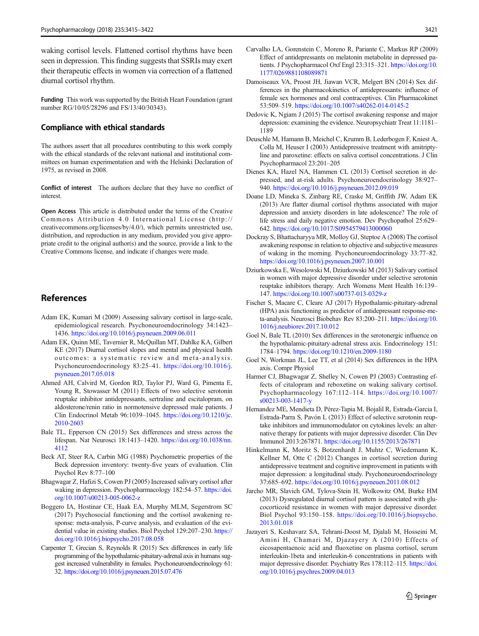<span id="page-6-0"></span>waking cortisol levels. Flattened cortisol rhythms have been seen in depression. This finding suggests that SSRIs may exert their therapeutic effects in women via correction of a flattened diurnal cortisol rhythm.

Funding This work was supported by the British Heart Foundation (grant number RG/10/05/28296 and FS/13/40/30343).

#### Compliance with ethical standards

The authors assert that all procedures contributing to this work comply with the ethical standards of the relevant national and institutional committees on human experimentation and with the Helsinki Declaration of 1975, as revised in 2008.

Conflict of interest The authors declare that they have no conflict of interest.

Open Access This article is distributed under the terms of the Creative Commons Attribution 4.0 International License (http:// creativecommons.org/licenses/by/4.0/), which permits unrestricted use, distribution, and reproduction in any medium, provided you give appropriate credit to the original author(s) and the source, provide a link to the Creative Commons license, and indicate if changes were made.

### References

- Adam EK, Kumari M (2009) Assessing salivary cortisol in large-scale, epidemiological research. Psychoneuroendocrinology 34:1423– 1436. <https://doi.org/10.1016/j.psyneuen.2009.06.011>
- Adam EK, Quinn ME, Tavernier R, McQuillan MT, Dahlke KA, Gilbert KE (2017) Diurnal cortisol slopes and mental and physical health outcomes: a systematic review and meta-analysis. Psychoneuroendocrinology 83:25–41. [https://doi.org/10.1016/j.](https://doi.org/10.1016/j.psyneuen.2017.05.018) [psyneuen.2017.05.018](https://doi.org/10.1016/j.psyneuen.2017.05.018)
- Ahmed AH, Calvird M, Gordon RD, Taylor PJ, Ward G, Pimenta E, Young R, Stowasser M (2011) Effects of two selective serotonin reuptake inhibitor antidepressants, sertraline and escitalopram, on aldosterone/renin ratio in normotensive depressed male patients. J Clin Endocrinol Metab 96:1039–1045. [https://doi.org/10.1210/jc.](https://doi.org/10.1210/jc.2010-2603) [2010-2603](https://doi.org/10.1210/jc.2010-2603)
- Bale TL, Epperson CN (2015) Sex differences and stress across the lifespan. Nat Neurosci 18:1413–1420. [https://doi.org/10.1038/nn.](https://doi.org/10.1038/nn.4112) [4112](https://doi.org/10.1038/nn.4112)
- Beck AT, Steer RA, Carbin MG (1988) Psychometric properties of the Beck depression inventory: twenty-five years of evaluation. Clin Psychol Rev 8:77–100
- Bhagwagar Z, Hafizi S, Cowen PJ (2005) Increased salivary cortisol after waking in depression. Psychopharmacology 182:54–57. [https://doi.](https://doi.org/10.1007/s00213-005-0062-z) [org/10.1007/s00213-005-0062-z](https://doi.org/10.1007/s00213-005-0062-z)
- Boggero IA, Hostinar CE, Haak EA, Murphy MLM, Segerstrom SC (2017) Psychosocial functioning and the cortisol awakening response: meta-analysis, P-curve analysis, and evaluation of the evidential value in existing studies. Biol Psychol 129:207–230. [https://](https://doi.org/10.1016/j.biopsycho.2017.08.058) [doi.org/10.1016/j.biopsycho.2017.08.058](https://doi.org/10.1016/j.biopsycho.2017.08.058)
- Carpenter T, Grecian S, Reynolds R (2015) Sex differences in early life programming of the hypothalamic-pituitary-adrenal axis in humans suggest increased vulnerability in females. Psychoneuroendocrinology 61: 32. <https://doi.org/10.1016/j.psyneuen.2015.07.476>
- Carvalho LA, Gorenstein C, Moreno R, Pariante C, Markus RP (2009) Effect of antidepressants on melatonin metabolite in depressed patients. J Psychopharmacol Oxf Engl 23:315–321. [https://doi.org/10.](https://doi.org/10.1177/0269881108089871) [1177/0269881108089871](https://doi.org/10.1177/0269881108089871)
- Damoiseaux VA, Proost JH, Jiawan VCR, Melgert BN (2014) Sex differences in the pharmacokinetics of antidepressants: influence of female sex hormones and oral contraceptives. Clin Pharmacokinet 53:509–519. <https://doi.org/10.1007/s40262-014-0145-2>
- Dedovic K, Ngiam J (2015) The cortisol awakening response and major depression: examining the evidence. Neuropsychiatr Treat 11:1181– 1189
- Deuschle M, Hamann B, Meichel C, Krumm B, Lederbogen F, Kniest A, Colla M, Heuser I (2003) Antidepressive treatment with amitriptyline and paroxetine: effects on saliva cortisol concentrations. J Clin Psychopharmacol 23:201–205
- Dienes KA, Hazel NA, Hammen CL (2013) Cortisol secretion in depressed, and at-risk adults. Psychoneuroendocrinology 38:927– 940. <https://doi.org/10.1016/j.psyneuen.2012.09.019>
- Doane LD, Mineka S, Zinbarg RE, Craske M, Griffith JW, Adam EK (2013) Are flatter diurnal cortisol rhythms associated with major depression and anxiety disorders in late adolescence? The role of life stress and daily negative emotion. Dev Psychopathol 25:629– 642. <https://doi.org/10.1017/S0954579413000060>
- Dockray S, Bhattacharyya MR, Molloy GJ, Steptoe A (2008) The cortisol awakening response in relation to objective and subjective measures of waking in the morning. Psychoneuroendocrinology 33:77–82. <https://doi.org/10.1016/j.psyneuen.2007.10.001>
- Dziurkowska E, Wesolowski M, Dziurkowski M (2013) Salivary cortisol in women with major depressive disorder under selective serotonin reuptake inhibitors therapy. Arch Womens Ment Health 16:139– 147. <https://doi.org/10.1007/s00737-013-0329-z>
- Fischer S, Macare C, Cleare AJ (2017) Hypothalamic-pituitary-adrenal (HPA) axis functioning as predictor of antidepressant response-meta-analysis. Neurosci Biobehav Rev 83:200–211. [https://doi.org/10.](https://doi.org/10.1016/j.neubiorev.2017.10.012) [1016/j.neubiorev.2017.10.012](https://doi.org/10.1016/j.neubiorev.2017.10.012)
- Goel N, Bale TL (2010) Sex differences in the serotonergic influence on the hypothalamic-pituitary-adrenal stress axis. Endocrinology 151: 1784–1794. <https://doi.org/10.1210/en.2009-1180>
- Goel N, Workman JL, Lee TT, et al (2014) Sex differences in the HPA axis. Compr Physiol
- Harmer CJ, Bhagwagar Z, Shelley N, Cowen PJ (2003) Contrasting effects of citalopram and reboxetine on waking salivary cortisol. Psychopharmacology 167:112–114. [https://doi.org/10.1007/](https://doi.org/10.1007/s00213-003-1417-y) [s00213-003-1417-y](https://doi.org/10.1007/s00213-003-1417-y)
- Hernandez ME, Mendieta D, Pérez-Tapia M, Bojalil R, Estrada-Garcia I, Estrada-Parra S, Pavón L (2013) Effect of selective serotonin reuptake inhibitors and immunomodulator on cytokines levels: an alternative therapy for patients with major depressive disorder. Clin Dev Immunol 2013:267871. <https://doi.org/10.1155/2013/267871>
- Hinkelmann K, Moritz S, Botzenhardt J, Muhtz C, Wiedemann K, Kellner M, Otte C (2012) Changes in cortisol secretion during antidepressive treatment and cognitive improvement in patients with major depression: a longitudinal study. Psychoneuroendocrinology 37:685–692. <https://doi.org/10.1016/j.psyneuen.2011.08.012>
- Jarcho MR, Slavich GM, Tylova-Stein H, Wolkowitz OM, Burke HM (2013) Dysregulated diurnal cortisol pattern is associated with glucocorticoid resistance in women with major depressive disorder. Biol Psychol 93:150–158. [https://doi.org/10.1016/j.biopsycho.](https://doi.org/10.1016/j.biopsycho.2013.01.018) [2013.01.018](https://doi.org/10.1016/j.biopsycho.2013.01.018)
- Jazayeri S, Keshavarz SA, Tehrani-Doost M, Djalali M, Hosseini M, Amini H, Chamari M, Djazayery A (2010) Effects of eicosapentaenoic acid and fluoxetine on plasma cortisol, serum interleukin-1beta and interleukin-6 concentrations in patients with major depressive disorder. Psychiatry Res 178:112–115. [https://doi.](https://doi.org/10.1016/j.psychres.2009.04.013) [org/10.1016/j.psychres.2009.04.013](https://doi.org/10.1016/j.psychres.2009.04.013)